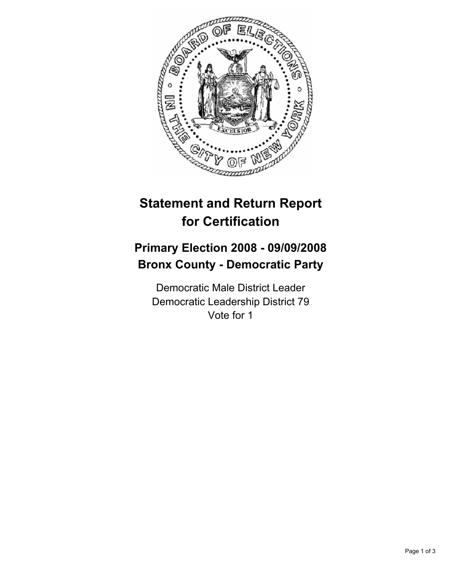

## **Statement and Return Report for Certification**

## **Primary Election 2008 - 09/09/2008 Bronx County - Democratic Party**

Democratic Male District Leader Democratic Leadership District 79 Vote for 1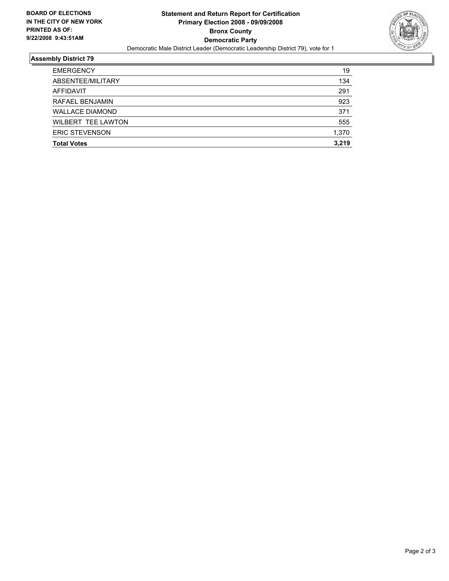

## **Assembly District 79**

| <b>EMERGENCY</b>          | 19    |
|---------------------------|-------|
| ABSENTEE/MILITARY         | 134   |
| AFFIDAVIT                 | 291   |
| RAFAEL BENJAMIN           | 923   |
| <b>WALLACE DIAMOND</b>    | 371   |
| <b>WILBERT TEE LAWTON</b> | 555   |
| <b>ERIC STEVENSON</b>     | 1,370 |
| <b>Total Votes</b>        | 3.219 |